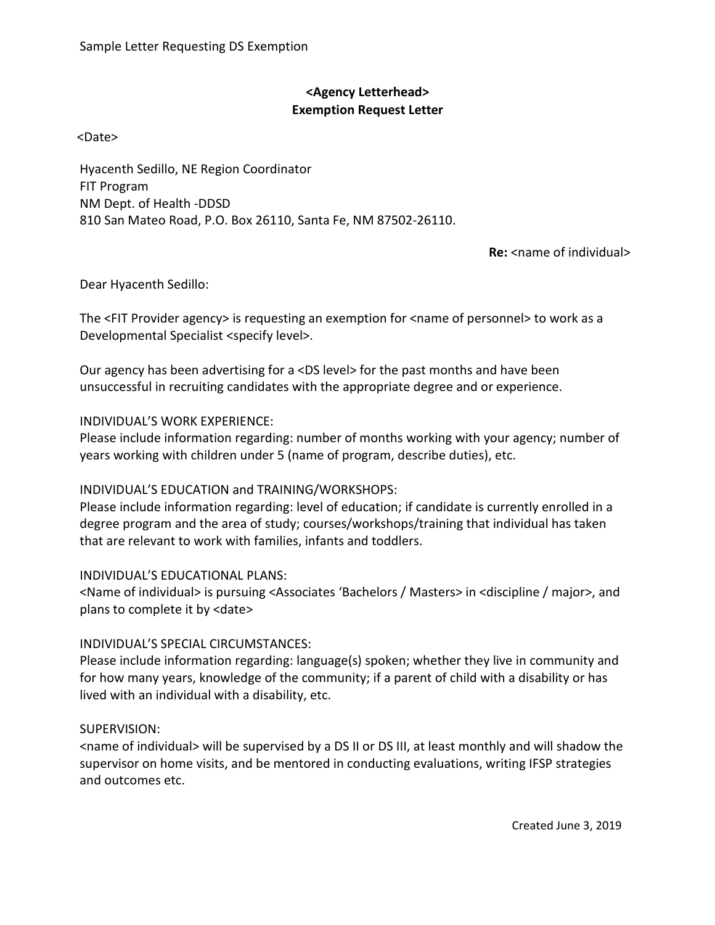# **<Agency Letterhead> Exemption Request Letter**

<Date>

Hyacenth Sedillo, NE Region Coordinator FIT Program NM Dept. of Health ‐DDSD 810 San Mateo Road, P.O. Box 26110, Santa Fe, NM 87502‐26110.

**Re:** <name of individual>

Dear Hyacenth Sedillo:

The <FIT Provider agency> is requesting an exemption for <name of personnel> to work as a Developmental Specialist <specify level>.

Our agency has been advertising for a <DS level> for the past months and have been unsuccessful in recruiting candidates with the appropriate degree and or experience.

## INDIVIDUAL'S WORK EXPERIENCE:

Please include information regarding: number of months working with your agency; number of years working with children under 5 (name of program, describe duties), etc.

## INDIVIDUAL'S EDUCATION and TRAINING/WORKSHOPS:

Please include information regarding: level of education; if candidate is currently enrolled in a degree program and the area of study; courses/workshops/training that individual has taken that are relevant to work with families, infants and toddlers.

### INDIVIDUAL'S EDUCATIONAL PLANS:

<Name of individual> is pursuing <Associates 'Bachelors / Masters> in <discipline / major>, and plans to complete it by <date>

## INDIVIDUAL'S SPECIAL CIRCUMSTANCES:

Please include information regarding: language(s) spoken; whether they live in community and for how many years, knowledge of the community; if a parent of child with a disability or has lived with an individual with a disability, etc.

## SUPERVISION:

<name of individual> will be supervised by a DS II or DS III, at least monthly and will shadow the supervisor on home visits, and be mentored in conducting evaluations, writing IFSP strategies and outcomes etc.